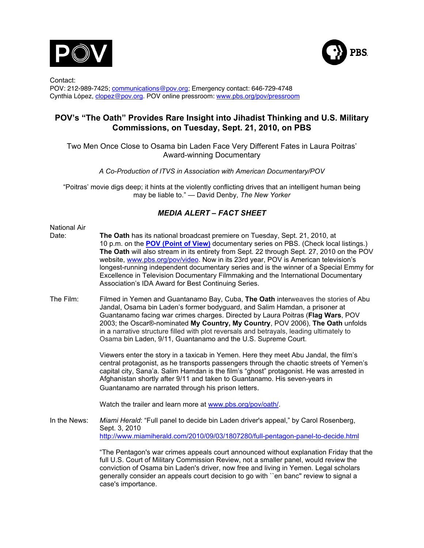



Contact: POV: 212-989-7425; communications@pov.org; Emergency contact: 646-729-4748 Cynthia López, clopez@pov.org. POV online pressroom: www.pbs.org/pov/pressroom

# **POV's "The Oath" Provides Rare Insight into Jihadist Thinking and U.S. Military Commissions, on Tuesday, Sept. 21, 2010, on PBS**

Two Men Once Close to Osama bin Laden Face Very Different Fates in Laura Poitras' Award-winning Documentary

*A Co-Production of ITVS in Association with American Documentary/POV*

"Poitras' movie digs deep; it hints at the violently conflicting drives that an intelligent human being may be liable to." — David Denby, *The New Yorker*

# *MEDIA ALERT – FACT SHEET*

- National Air Date: **The Oath** has its national broadcast premiere on Tuesday, Sept. 21, 2010, at 10 p.m. on the **POV (Point of View)** documentary series on PBS. (Check local listings.) **The Oath** will also stream in its entirety from Sept. 22 through Sept. 27, 2010 on the POV website, www.pbs.org/pov/video. Now in its 23rd year, POV is American television's longest-running independent documentary series and is the winner of a Special Emmy for Excellence in Television Documentary Filmmaking and the International Documentary Association's IDA Award for Best Continuing Series.
- The Film: Filmed in Yemen and Guantanamo Bay, Cuba, **The Oath** interweaves the stories of Abu Jandal, Osama bin Laden's former bodyguard, and Salim Hamdan, a prisoner at Guantanamo facing war crimes charges. Directed by Laura Poitras (**Flag Wars**, POV 2003; the Oscar®-nominated **My Country, My Country**, POV 2006), **The Oath** unfolds in a narrative structure filled with plot reversals and betrayals, leading ultimately to Osama bin Laden, 9/11, Guantanamo and the U.S. Supreme Court.

Viewers enter the story in a taxicab in Yemen. Here they meet Abu Jandal, the film's central protagonist, as he transports passengers through the chaotic streets of Yemen's capital city, Sana'a. Salim Hamdan is the film's "ghost" protagonist. He was arrested in Afghanistan shortly after 9/11 and taken to Guantanamo. His seven-years in Guantanamo are narrated through his prison letters.

Watch the trailer and learn more at www.pbs.org/pov/oath/.

In the News: *Miami Herald*: "Full panel to decide bin Laden driver's appeal," by Carol Rosenberg, Sept. 3, 2010 http://www.miamiherald.com/2010/09/03/1807280/full-pentagon-panel-to-decide.html

> "The Pentagon's war crimes appeals court announced without explanation Friday that the full U.S. Court of Military Commission Review, not a smaller panel, would review the conviction of Osama bin Laden's driver, now free and living in Yemen. Legal scholars generally consider an appeals court decision to go with ``en banc'' review to signal a case's importance.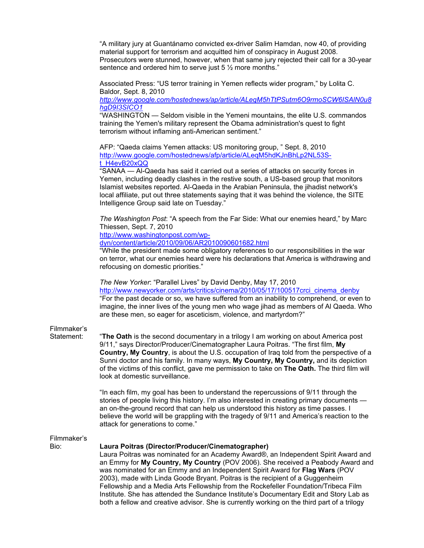"A military jury at Guantánamo convicted ex-driver Salim Hamdan, now 40, of providing material support for terrorism and acquitted him of conspiracy in August 2008. Prosecutors were stunned, however, when that same jury rejected their call for a 30-year sentence and ordered him to serve just 5  $\frac{1}{2}$  more months."

Associated Press: "US terror training in Yemen reflects wider program," by Lolita C. Baldor, Sept. 8, 2010

*http://www.google.com/hostednews/ap/article/ALeqM5hTtPSutm6O9rmoSCW6ISAlN0u8 hgD9I3SICO1*

"WASHINGTON — Seldom visible in the Yemeni mountains, the elite U.S. commandos training the Yemen's military represent the Obama administration's quest to fight terrorism without inflaming anti-American sentiment."

AFP: "Qaeda claims Yemen attacks: US monitoring group, " Sept. 8, 2010 http://www.google.com/hostednews/afp/article/ALeqM5hdKJnBhLp2NL53St\_H4evB20xQQ

"SANAA — Al-Qaeda has said it carried out a series of attacks on security forces in Yemen, including deadly clashes in the restive south, a US-based group that monitors Islamist websites reported. Al-Qaeda in the Arabian Peninsula, the jihadist network's local affiliate, put out three statements saying that it was behind the violence, the SITE Intelligence Group said late on Tuesday."

*The Washington Post*: "A speech from the Far Side: What our enemies heard," by Marc Thiessen, Sept. 7, 2010

http://www.washingtonpost.com/wp-

dyn/content/article/2010/09/06/AR2010090601682.html

"While the president made some obligatory references to our responsibilities in the war on terror, what our enemies heard were his declarations that America is withdrawing and refocusing on domestic priorities."

*The New Yorker*: "Parallel Lives" by David Denby, May 17, 2010 http://www.newyorker.com/arts/critics/cinema/2010/05/17/100517crci\_cinema\_denby "For the past decade or so, we have suffered from an inability to comprehend, or even to imagine, the inner lives of the young men who wage jihad as members of Al Qaeda. Who are these men, so eager for asceticism, violence, and martyrdom?"

### Filmmaker's

Statement: "**The Oath** is the second documentary in a trilogy I am working on about America post 9/11," says Director/Producer/Cinematographer Laura Poitras. "The first film, **My Country, My Country**, is about the U.S. occupation of Iraq told from the perspective of a Sunni doctor and his family. In many ways, **My Country, My Country,** and its depiction of the victims of this conflict, gave me permission to take on **The Oath.** The third film will look at domestic surveillance.

> "In each film, my goal has been to understand the repercussions of 9/11 through the stories of people living this history. I'm also interested in creating primary documents an on-the-ground record that can help us understood this history as time passes. I believe the world will be grappling with the tragedy of 9/11 and America's reaction to the attack for generations to come."

### Filmmaker's

#### Bio: **Laura Poitras (Director/Producer/Cinematographer)**

Laura Poitras was nominated for an Academy Award®, an Independent Spirit Award and an Emmy for **My Country, My Country** (POV 2006). She received a Peabody Award and was nominated for an Emmy and an Independent Spirit Award for **Flag Wars** (POV 2003), made with Linda Goode Bryant. Poitras is the recipient of a Guggenheim Fellowship and a Media Arts Fellowship from the Rockefeller Foundation/Tribeca Film Institute. She has attended the Sundance Institute's Documentary Edit and Story Lab as both a fellow and creative advisor. She is currently working on the third part of a trilogy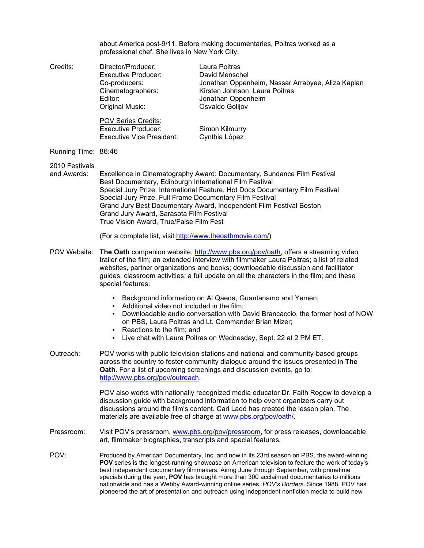about America post-9/11. Before making documentaries, Poitras worked as a professional chef. She lives in New York City.

- Credits: Director/Producer: Laura Poitras Executive Producer: David Menschel Co-producers: Jonathan Oppenheim, Nassar Arrabyee, Aliza Kaplan Cinematographers: Kirsten Johnson, Laura Poitras Editor: **In the Contract of Contract Contract Contract Contract Contract Contract Contract Contract Contract Contract Contract Contract Contract Contract Contract Contract Contract Contract Contract Contract Contract Contr** Original Music: Osvaldo Golijov POV Series Credits: Executive Producer: Simon Kilmurry Executive Vice President: Cynthia López Running Time: 86:46 2010 Festivals and Awards: Excellence in Cinematography Award: Documentary, Sundance Film Festival Best Documentary, Edinburgh International Film Festival
	- Special Jury Prize: International Feature, Hot Docs Documentary Film Festival Special Jury Prize, Full Frame Documentary Film Festival Grand Jury Best Documentary Award, Independent Film Festival Boston Grand Jury Award, Sarasota Film Festival True Vision Award, True/False Film Fest

(For a complete list, visit http://www.theoathmovie.com/)

- POV Website: **The Oath** companion website, http://www.pbs.org/pov/oath, offers a streaming video trailer of the film; an extended interview with filmmaker Laura Poitras; a list of related websites, partner organizations and books; downloadable discussion and facilitator guides; classroom activities; a full update on all the characters in the film; and these special features:
	- Background information on Al Qaeda, Guantanamo and Yemen;
	- Additional video not included in the film;
	- Downloadable audio conversation with David Brancaccio, the former host of NOW on PBS, Laura Poitras and Lt. Commander Brian Mizer;
	- Reactions to the film; and
	- Live chat with Laura Poitras on Wednesday, Sept. 22 at 2 PM ET.
- Outreach: POV works with public television stations and national and community-based groups across the country to foster community dialogue around the issues presented in **The Oath**. For a list of upcoming screenings and discussion events, go to: http://www.pbs.org/pov/outreach.

POV also works with nationally recognized media educator Dr. Faith Rogow to develop a discussion guide with background information to help event organizers carry out discussions around the film's content. Cari Ladd has created the lesson plan. The materials are available free of charge at www.pbs.org/pov/oath/.

- Pressroom: Visit POV's pressroom, www.pbs.org/pov/pressroom, for press releases, downloadable art, filmmaker biographies, transcripts and special features.
- POV: Produced by American Documentary, Inc. and now in its 23rd season on PBS, the award-winning **POV** series is the longest-running showcase on American television to feature the work of today's best independent documentary filmmakers. Airing June through September, with primetime specials during the year, **POV** has brought more than 300 acclaimed documentaries to millions nationwide and has a Webby Award-winning online series, *POV's Borders*. Since 1988, POV has pioneered the art of presentation and outreach using independent nonfiction media to build new